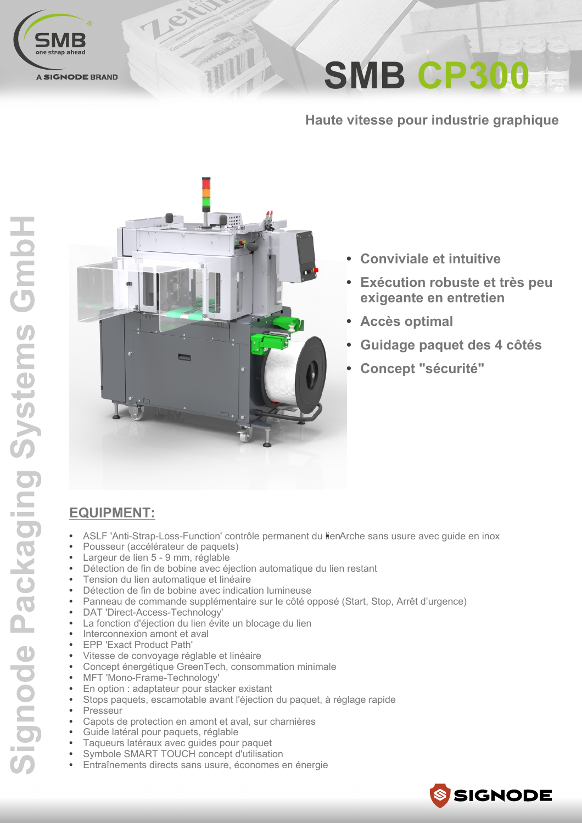

**SMB CP300** 

Haute vitesse pour industrie graphique



TIIL

- **Conviviale et intuitive**  $\bullet$
- Exécution robuste et très peu exigeante en entretien
- **Accès optimal**
- Guidage paquet des 4 côtés
- **Concept "sécurité"**

### **EQUIPMENT:**

- ASLF 'Anti-Strap-Loss-Function' contrôle permanent du lienArche sans usure avec guide en inox
- Pousseur (accélérateur de paquets)
- Largeur de lien 5 9 mm, réglable
- Détection de fin de bobine avec éjection automatique du lien restant
- Tension du lien automatique et linéaire
- Détection de fin de bobine avec indication lumineuse
- Panneau de commande supplémentaire sur le côté opposé (Start, Stop, Arrêt d'urgence)
- DAT 'Direct-Access-Technology'
- La fonction d'éjection du lien évite un blocage du lien
- Interconnexion amont et aval
- EPP 'Exact Product Path'
- Vitesse de convoyage réglable et linéaire
- Concept énergétique GreenTech, consommation minimale
- MFT 'Mono-Frame-Technology'
- En option : adaptateur pour stacker existant
- Stops paquets, escamotable avant l'éjection du paquet, à réglage rapide
- Presseur
- Capots de protection en amont et aval, sur charnières
- Guide latéral pour paquets, réglable
- Taqueurs latéraux avec quides pour paquet
- Symbole SMART TOUCH concept d'utilisation Entraînements directs sans usure, économes en énergie